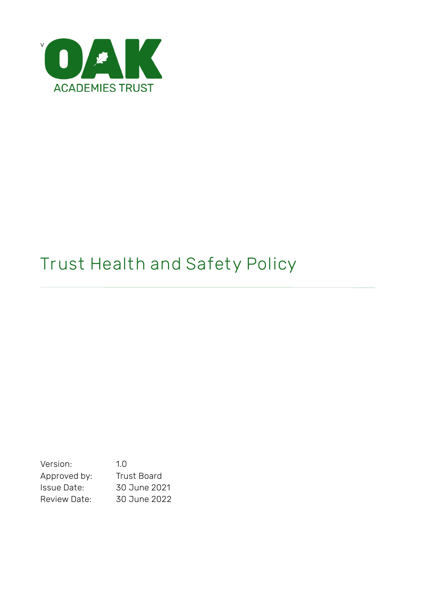

# **Trust Health and Safety Policy**

Version: 1.0 Approved by: Trust Board Issue Date: 30 June 2021 Review Date: 30 June 2022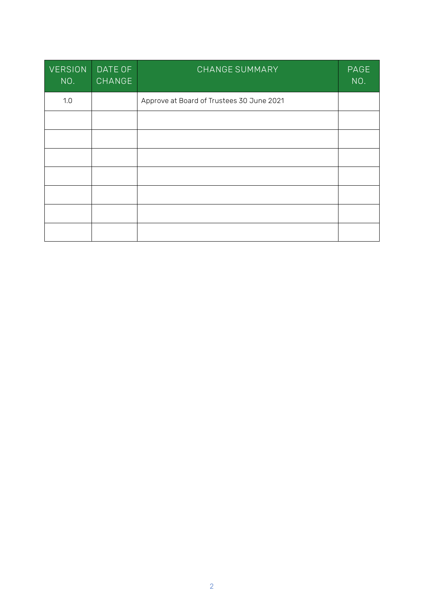| <b>VERSION</b><br>NO. | DATE OF<br>CHANGE | CHANGE SUMMARY                            | PAGE<br>NO. |
|-----------------------|-------------------|-------------------------------------------|-------------|
| 1.0                   |                   | Approve at Board of Trustees 30 June 2021 |             |
|                       |                   |                                           |             |
|                       |                   |                                           |             |
|                       |                   |                                           |             |
|                       |                   |                                           |             |
|                       |                   |                                           |             |
|                       |                   |                                           |             |
|                       |                   |                                           |             |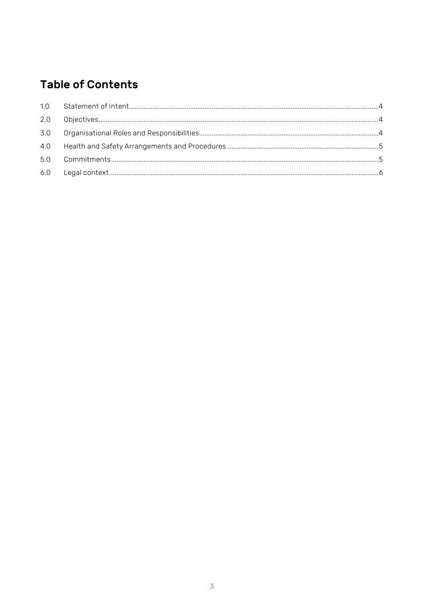# **Table of Contents**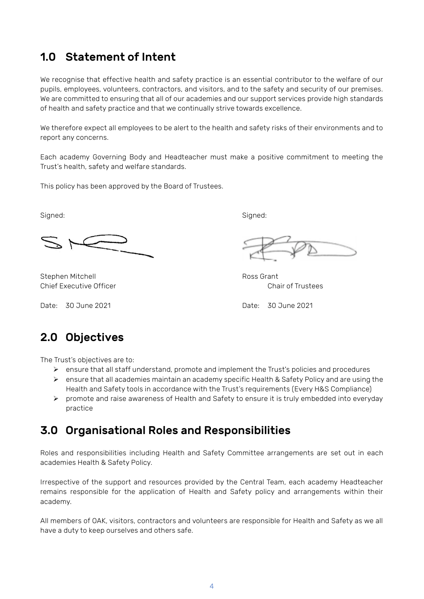## <span id="page-3-0"></span>1.0 Statement of Intent

We recognise that effective health and safety practice is an essential contributor to the welfare of our pupils, employees, volunteers, contractors, and visitors, and to the safety and security of our premises. We are committed to ensuring that all of our academies and our support services provide high standards of health and safety practice and that we continually strive towards excellence.

We therefore expect all employees to be alert to the health and safety risks of their environments and to report any concerns.

Each academy Governing Body and Headteacher must make a positive commitment to meeting the Trust's health, safety and welfare standards.

This policy has been approved by the Board of Trustees.

Signed: Signed:

Stephen Mitchell **Ross** Grant Chief Executive Officer Chair of Trustees

Date: 30 June 2021 Date: 30 June 2021

## <span id="page-3-1"></span>2.0 Objectives

The Trust's objectives are to:

- ➢ ensure that all staff understand, promote and implement the Trust's policies and procedures
- ➢ ensure that all academies maintain an academy specific Health & Safety Policy and are using the Health and Safety tools in accordance with the Trust's requirements (Every H&S Compliance)
- $\triangleright$  promote and raise awareness of Health and Safety to ensure it is truly embedded into everyday practice

#### <span id="page-3-2"></span>3.0 Organisational Roles and Responsibilities

Roles and responsibilities including Health and Safety Committee arrangements are set out in each academies Health & Safety Policy.

Irrespective of the support and resources provided by the Central Team, each academy Headteacher remains responsible for the application of Health and Safety policy and arrangements within their academy.

All members of OAK, visitors, contractors and volunteers are responsible for Health and Safety as we all have a duty to keep ourselves and others safe.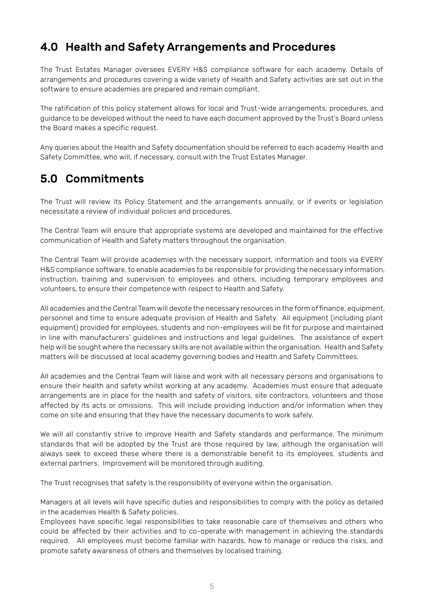# <span id="page-4-0"></span>4.0 Health and Safety Arrangements and Procedures

The Trust Estates Manager oversees EVERY H&S compliance software for each academy. Details of arrangements and procedures covering a wide variety of Health and Safety activities are set out in the software to ensure academies are prepared and remain compliant.

The ratification of this policy statement allows for local and Trust-wide arrangements, procedures, and guidance to be developed without the need to have each document approved by the Trust's Board unless the Board makes a specific request.

Any queries about the Health and Safety documentation should be referred to each academy Health and Safety Committee, who will, if necessary, consult with the Trust Estates Manager.

## <span id="page-4-1"></span>5.0 Commitments

The Trust will review its Policy Statement and the arrangements annually, or if events or legislation necessitate a review of individual policies and procedures.

The Central Team will ensure that appropriate systems are developed and maintained for the effective communication of Health and Safety matters throughout the organisation.

The Central Team will provide academies with the necessary support, information and tools via EVERY H&S compliance software, to enable academies to be responsible for providing the necessary information, instruction, training and supervision to employees and others, including temporary employees and volunteers, to ensure their competence with respect to Health and Safety.

All academies and the Central Team will devote the necessary resources in the form of finance, equipment, personnel and time to ensure adequate provision of Health and Safety. All equipment (including plant equipment) provided for employees, students and non-employees will be fit for purpose and maintained in line with manufacturers' guidelines and instructions and legal guidelines. The assistance of expert help will be sought where the necessary skills are not available within the organisation. Health and Safety matters will be discussed at local academy governing bodies and Health and Safety Committees.

All academies and the Central Team will liaise and work with all necessary persons and organisations to ensure their health and safety whilst working at any academy. Academies must ensure that adequate arrangements are in place for the health and safety of visitors, site contractors, volunteers and those affected by its acts or omissions. This will include providing induction and/or information when they come on site and ensuring that they have the necessary documents to work safely.

We will all constantly strive to improve Health and Safety standards and performance. The minimum standards that will be adopted by the Trust are those required by law, although the organisation will always seek to exceed these where there is a demonstrable benefit to its employees, students and external partners. Improvement will be monitored through auditing.

The Trust recognises that safety is the responsibility of everyone within the organisation.

Managers at all levels will have specific duties and responsibilities to comply with the policy as detailed in the academies Health & Safety policies.

Employees have specific legal responsibilities to take reasonable care of themselves and others who could be affected by their activities and to co-operate with management in achieving the standards required. All employees must become familiar with hazards, how to manage or reduce the risks, and promote safety awareness of others and themselves by localised training.